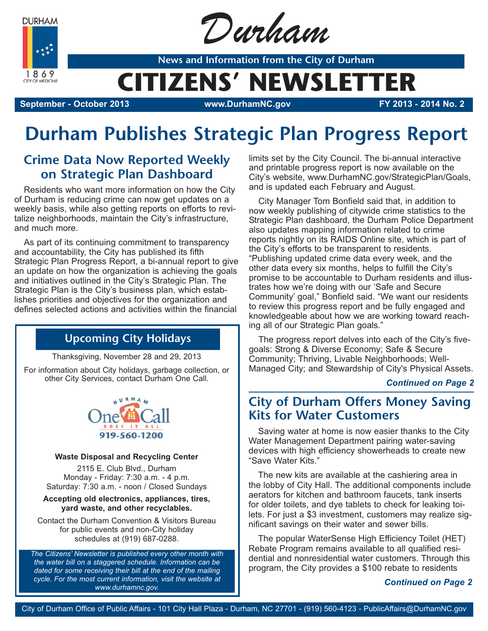**DURHAM** 



Durham

**News and Information from the City of Durham**

# **CITIZENS' NEWSLETTER**

**September - October 2013 www.DurhamNC.gov FY 2013 - 2014 No. 2**

## **Durham Publishes Strategic Plan Progress Report**

## **Crime Data Now Reported Weekly on Strategic Plan Dashboard**

Residents who want more information on how the City of Durham is reducing crime can now get updates on a weekly basis, while also getting reports on efforts to revitalize neighborhoods, maintain the City's infrastructure, and much more.

As part of its continuing commitment to transparency and accountability, the City has published its fifth Strategic Plan Progress Report, a bi-annual report to give an update on how the organization is achieving the goals and initiatives outlined in the City's Strategic Plan. The Strategic Plan is the City's business plan, which establishes priorities and objectives for the organization and defines selected actions and activities within the financial

## **Upcoming City Holidays**

Thanksgiving, November 28 and 29, 2013

For information about City holidays, garbage collection, or other City Services, contact Durham One Call.



#### **Waste Disposal and Recycling Center**

2115 E. Club Blvd., Durham Monday - Friday: 7:30 a.m. - 4 p.m. Saturday: 7:30 a.m. - noon / Closed Sundays

#### **Accepting old electronics, appliances, tires, yard waste, and other recyclables.**

Contact the Durham Convention & Visitors Bureau for public events and non-City holiday schedules at (919) 687-0288.

*The Citizens' Newsletter is published every other month with the water bill on a staggered schedule. Information can be dated for some receiving their bill at the end of the mailing cycle. For the most current information, visit the website at www.durhamnc.gov.*

limits set by the City Council. The bi-annual interactive and printable progress report is now available on the City's website, www.DurhamNC.gov/StrategicPlan/Goals, and is updated each February and August.

City Manager Tom Bonfield said that, in addition to now weekly publishing of citywide crime statistics to the Strategic Plan dashboard, the Durham Police Department also updates mapping information related to crime reports nightly on its RAIDS Online site, which is part of the City's efforts to be transparent to residents. "Publishing updated crime data every week, and the other data every six months, helps to fulfill the City's promise to be accountable to Durham residents and illustrates how we're doing with our 'Safe and Secure Community' goal," Bonfield said. "We want our residents to review this progress report and be fully engaged and knowledgeable about how we are working toward reaching all of our Strategic Plan goals."

The progress report delves into each of the City's fivegoals: Strong & Diverse Economy; Safe & Secure Community; Thriving, Livable Neighborhoods; Well-Managed City; and Stewardship of City's Physical Assets.

### *Continued on Page 2*

### **City of Durham Offers Money Saving Kits for Water Customers**

Saving water at home is now easier thanks to the City Water Management Department pairing water-saving devices with high efficiency showerheads to create new "Save Water Kits."

The new kits are available at the cashiering area in the lobby of City Hall. The additional components include aerators for kitchen and bathroom faucets, tank inserts for older toilets, and dye tablets to check for leaking toilets. For just a \$3 investment, customers may realize significant savings on their water and sewer bills.

The popular WaterSense High Efficiency Toilet (HET) Rebate Program remains available to all qualified residential and nonresidential water customers. Through this program, the City provides a \$100 rebate to residents

### *Continued on Page 2*